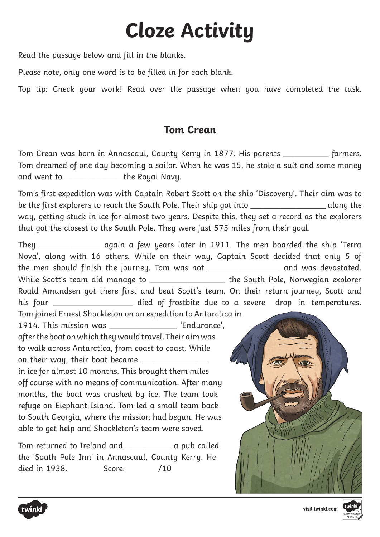## **Cloze Activity**

Read the passage below and fill in the blanks.

Please note, only one word is to be filled in for each blank.

Top tip: Check your work! Read over the passage when you have completed the task.

## **Tom Crean**

Tom Crean was born in Annascaul, County Kerry in 1877. His parents \_\_\_\_\_\_\_\_\_\_\_\_ farmers. Tom dreamed of one day becoming a sailor. When he was 15, he stole a suit and some money and went to **we** the Royal Navy.

Tom's first expedition was with Captain Robert Scott on the ship 'Discovery'. Their aim was to be the first explorers to reach the South Pole. Their ship got into \_\_\_\_\_\_\_\_\_\_\_\_\_\_\_\_\_\_\_\_\_\_\_\_\_\_\_\_\_\_\_\_ along the way, getting stuck in ice for almost two years. Despite this, they set a record as the explorers that got the closest to the South Pole. They were just 575 miles from their goal.

They \_\_\_\_\_\_\_\_\_\_\_\_\_\_\_\_ again a few years later in 1911. The men boarded the ship 'Terra Nova', along with 16 others. While on their way, Captain Scott decided that only 5 of the men should finish the journey. Tom was not \_\_\_\_\_\_\_\_\_\_\_\_\_\_\_\_\_\_\_ and was devastated. While Scott's team did manage to \_\_\_\_\_\_\_\_\_\_\_\_\_\_\_\_\_\_\_\_\_ the South Pole, Norwegian explorer Roald Amundsen got there first and beat Scott's team. On their return journey, Scott and his four \_\_\_\_\_\_\_\_\_\_\_\_\_\_\_\_\_\_\_\_\_ died of frostbite due to a severe drop in temperatures. Tom joined Ernest Shackleton on an expedition to Antarctica in 1914. This mission was \_\_\_\_\_\_\_\_\_\_\_\_\_\_\_\_\_\_ 'Endurance', after the boat on which they would travel. Their aim was to walk across Antarctica, from coast to coast. While on their way, their boat became \_\_\_\_\_\_\_\_\_\_\_\_\_\_\_\_\_\_ in ice for almost 10 months. This brought them miles off course with no means of communication. After many months, the boat was crushed by ice. The team took refuge on Elephant Island. Tom led a small team back to South Georgia, where the mission had begun. He was able to get help and Shackleton's team were saved.

Tom returned to Ireland and \_\_\_\_\_\_\_\_\_\_\_\_ a pub called the 'South Pole Inn' in Annascaul, County Kerry. He died in 1938. Score: /10